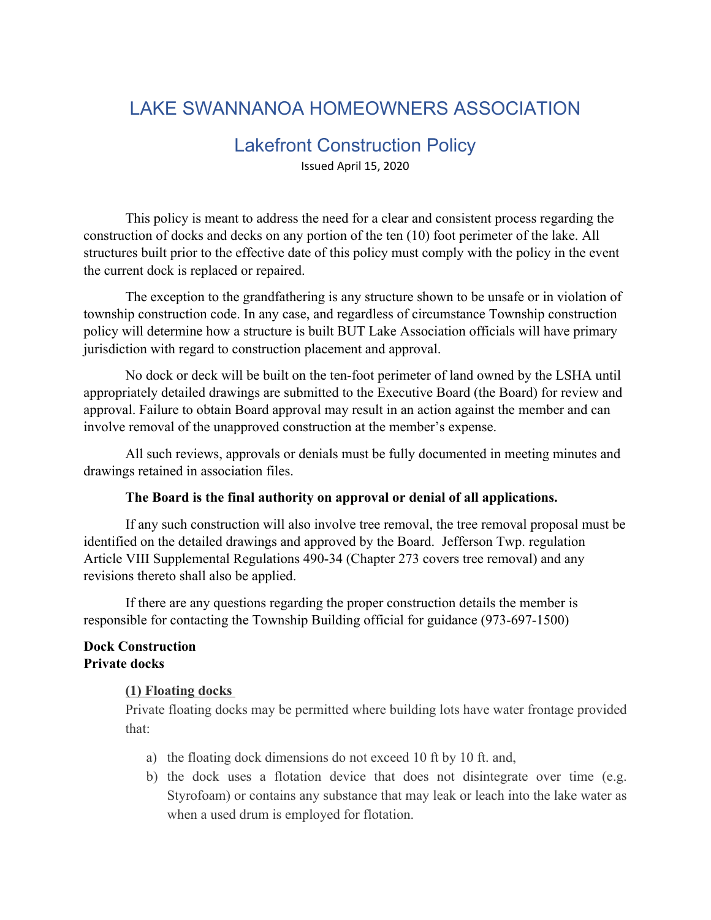# LAKE SWANNANOA HOMEOWNERS ASSOCIATION

### Lakefront Construction Policy

Issued April 15, 2020

This policy is meant to address the need for a clear and consistent process regarding the construction of docks and decks on any portion of the ten (10) foot perimeter of the lake. All structures built prior to the effective date of this policy must comply with the policy in the event the current dock is replaced or repaired.

The exception to the grandfathering is any structure shown to be unsafe or in violation of township construction code. In any case, and regardless of circumstance Township construction policy will determine how a structure is built BUT Lake Association officials will have primary jurisdiction with regard to construction placement and approval.

No dock or deck will be built on the ten-foot perimeter of land owned by the LSHA until appropriately detailed drawings are submitted to the Executive Board (the Board) for review and approval. Failure to obtain Board approval may result in an action against the member and can involve removal of the unapproved construction at the member's expense.

All such reviews, approvals or denials must be fully documented in meeting minutes and drawings retained in association files.

#### **The Board is the final authority on approval or denial of all applications.**

If any such construction will also involve tree removal, the tree removal proposal must be identified on the detailed drawings and approved by the Board. Jefferson Twp. regulation Article VIII Supplemental Regulations 490-34 (Chapter 273 covers tree removal) and any revisions thereto shall also be applied.

If there are any questions regarding the proper construction details the member is responsible for contacting the Township Building official for guidance (973-697-1500)

#### **Dock Construction Private docks**

#### **(1) Floating docks**

Private floating docks may be permitted where building lots have water frontage provided that:

- a) the floating dock dimensions do not exceed 10 ft by 10 ft. and,
- b) the dock uses a flotation device that does not disintegrate over time (e.g. Styrofoam) or contains any substance that may leak or leach into the lake water as when a used drum is employed for flotation.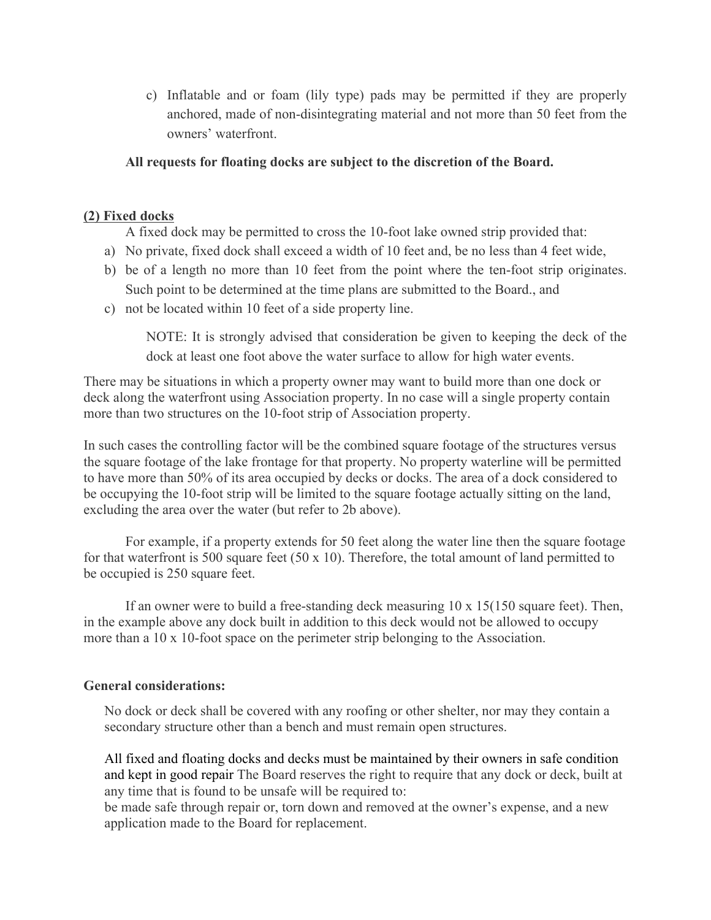c) Inflatable and or foam (lily type) pads may be permitted if they are properly anchored, made of non-disintegrating material and not more than 50 feet from the owners' waterfront.

#### **All requests for floating docks are subject to the discretion of the Board.**

#### **(2) Fixed docks**

A fixed dock may be permitted to cross the 10-foot lake owned strip provided that:

- a) No private, fixed dock shall exceed a width of 10 feet and, be no less than 4 feet wide,
- b) be of a length no more than 10 feet from the point where the ten-foot strip originates. Such point to be determined at the time plans are submitted to the Board., and
- c) not be located within 10 feet of a side property line.

NOTE: It is strongly advised that consideration be given to keeping the deck of the dock at least one foot above the water surface to allow for high water events.

There may be situations in which a property owner may want to build more than one dock or deck along the waterfront using Association property. In no case will a single property contain more than two structures on the 10-foot strip of Association property.

In such cases the controlling factor will be the combined square footage of the structures versus the square footage of the lake frontage for that property. No property waterline will be permitted to have more than 50% of its area occupied by decks or docks. The area of a dock considered to be occupying the 10-foot strip will be limited to the square footage actually sitting on the land, excluding the area over the water (but refer to 2b above).

For example, if a property extends for 50 feet along the water line then the square footage for that waterfront is 500 square feet (50 x 10). Therefore, the total amount of land permitted to be occupied is 250 square feet.

If an owner were to build a free-standing deck measuring  $10 \times 15(150)$  square feet). Then, in the example above any dock built in addition to this deck would not be allowed to occupy more than a 10 x 10-foot space on the perimeter strip belonging to the Association.

#### **General considerations:**

No dock or deck shall be covered with any roofing or other shelter, nor may they contain a secondary structure other than a bench and must remain open structures.

All fixed and floating docks and decks must be maintained by their owners in safe condition and kept in good repair The Board reserves the right to require that any dock or deck, built at any time that is found to be unsafe will be required to:

be made safe through repair or, torn down and removed at the owner's expense, and a new application made to the Board for replacement.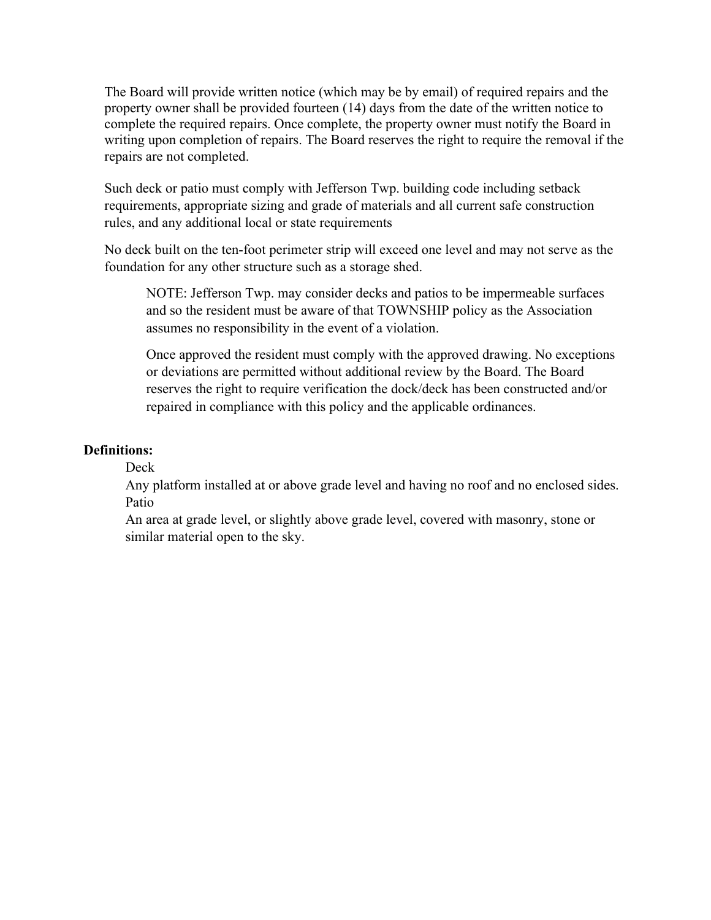The Board will provide written notice (which may be by email) of required repairs and the property owner shall be provided fourteen (14) days from the date of the written notice to complete the required repairs. Once complete, the property owner must notify the Board in writing upon completion of repairs. The Board reserves the right to require the removal if the repairs are not completed.

Such deck or patio must comply with Jefferson Twp. building code including setback requirements, appropriate sizing and grade of materials and all current safe construction rules, and any additional local or state requirements

No deck built on the ten-foot perimeter strip will exceed one level and may not serve as the foundation for any other structure such as a storage shed.

NOTE: Jefferson Twp. may consider decks and patios to be impermeable surfaces and so the resident must be aware of that TOWNSHIP policy as the Association assumes no responsibility in the event of a violation.

Once approved the resident must comply with the approved drawing. No exceptions or deviations are permitted without additional review by the Board. The Board reserves the right to require verification the dock/deck has been constructed and/or repaired in compliance with this policy and the applicable ordinances.

#### **Definitions:**

#### Deck

Any platform installed at or above grade level and having no roof and no enclosed sides. Patio

An area at grade level, or slightly above grade level, covered with masonry, stone or similar material open to the sky.